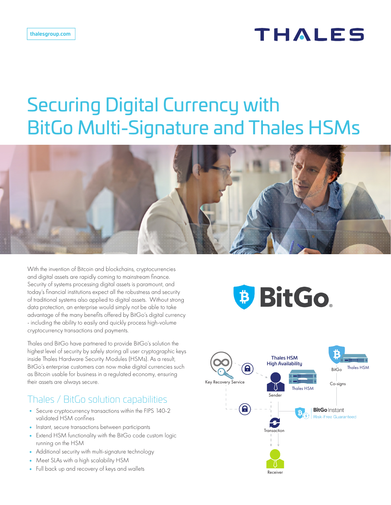# **THALES**

# Securing Digital Currency with BitGo Multi-Signature and Thales HSMs



With the invention of Bitcoin and blockchains, cryptocurrencies and digital assets are rapidly coming to mainstream finance. Security of systems processing digital assets is paramount, and today's financial institutions expect all the robustness and security of traditional systems also applied to digital assets. Without strong data protection, an enterprise would simply not be able to take advantage of the many benefits offered by BitGo's digital currency - including the ability to easily and quickly process high-volume cryptocurrency transactions and payments.

Thales and BitGo have partnered to provide BitGo's solution the highest level of security by safely storing all user cryptographic keys inside Thales Hardware Security Modules (HSMs). As a result, BitGo's enterprise customers can now make digital currencies such as Bitcoin usable for business in a regulated economy, ensuring their assets are always secure.

## Thales / BitGo solution capabilities

- Secure cryptocurrency transactions within the FIPS 140-2 validated HSM confines
- Instant, secure transactions between participants
- Extend HSM functionality with the BitGo code custom logic running on the HSM
- Additional security with multi-signature technology
- Meet SLAs with a high scalability HSM
- Full back up and recovery of keys and wallets

# **BitGo**